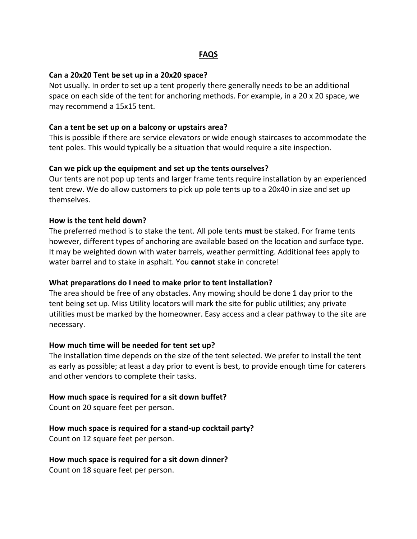## **FAQS**

### **Can a 20x20 Tent be set up in a 20x20 space?**

Not usually. In order to set up a tent properly there generally needs to be an additional space on each side of the tent for anchoring methods. For example, in a 20 x 20 space, we may recommend a 15x15 tent.

### **Can a tent be set up on a balcony or upstairs area?**

This is possible if there are service elevators or wide enough staircases to accommodate the tent poles. This would typically be a situation that would require a site inspection.

### **Can we pick up the equipment and set up the tents ourselves?**

Our tents are not pop up tents and larger frame tents require installation by an experienced tent crew. We do allow customers to pick up pole tents up to a 20x40 in size and set up themselves.

### **How is the tent held down?**

The preferred method is to stake the tent. All pole tents **must** be staked. For frame tents however, different types of anchoring are available based on the location and surface type. It may be weighted down with water barrels, weather permitting. Additional fees apply to water barrel and to stake in asphalt. You **cannot** stake in concrete!

### **What preparations do I need to make prior to tent installation?**

The area should be free of any obstacles. Any mowing should be done 1 day prior to the tent being set up. Miss Utility locators will mark the site for public utilities; any private utilities must be marked by the homeowner. Easy access and a clear pathway to the site are necessary.

### **How much time will be needed for tent set up?**

The installation time depends on the size of the tent selected. We prefer to install the tent as early as possible; at least a day prior to event is best, to provide enough time for caterers and other vendors to complete their tasks.

### **How much space is required for a sit down buffet?**

Count on 20 square feet per person.

## **How much space is required for a stand-up cocktail party?**

Count on 12 square feet per person.

### **How much space is required for a sit down dinner?**

Count on 18 square feet per person.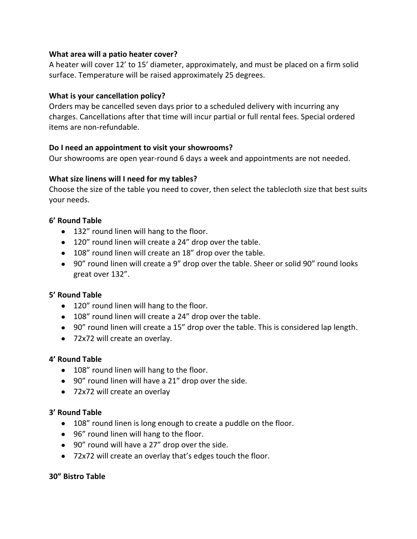## **What area will a patio heater cover?**

A heater will cover 12' to 15' diameter, approximately, and must be placed on a firm solid surface. Temperature will be raised approximately 25 degrees.

## **What is your cancellation policy?**

Orders may be cancelled seven days prior to a scheduled delivery with incurring any charges. Cancellations after that time will incur partial or full rental fees. Special ordered items are non-refundable.

# **Do I need an appointment to visit your showrooms?**

Our showrooms are open year-round 6 days a week and appointments are not needed.

## **What size linens will I need for my tables?**

Choose the size of the table you need to cover, then select the tablecloth size that best suits your needs.

# **6' Round Table**

- 132" round linen will hang to the floor.
- 120" round linen will create a 24" drop over the table.
- 108" round linen will create an 18" drop over the table.
- 90" round linen will create a 9" drop over the table. Sheer or solid 90" round looks great over 132".

## **5' Round Table**

- 120" round linen will hang to the floor.
- 108" round linen will create a 24" drop over the table.
- 90" round linen will create a 15" drop over the table. This is considered lap length.
- 72x72 will create an overlay.

## **4' Round Table**

- 108" round linen will hang to the floor.
- 90" round linen will have a 21" drop over the side.
- 72x72 will create an overlay

## **3' Round Table**

- 108" round linen is long enough to create a puddle on the floor.
- 96" round linen will hang to the floor.
- 90" round will have a 27" drop over the side.
- 72x72 will create an overlay that's edges touch the floor.

## **30" Bistro Table**